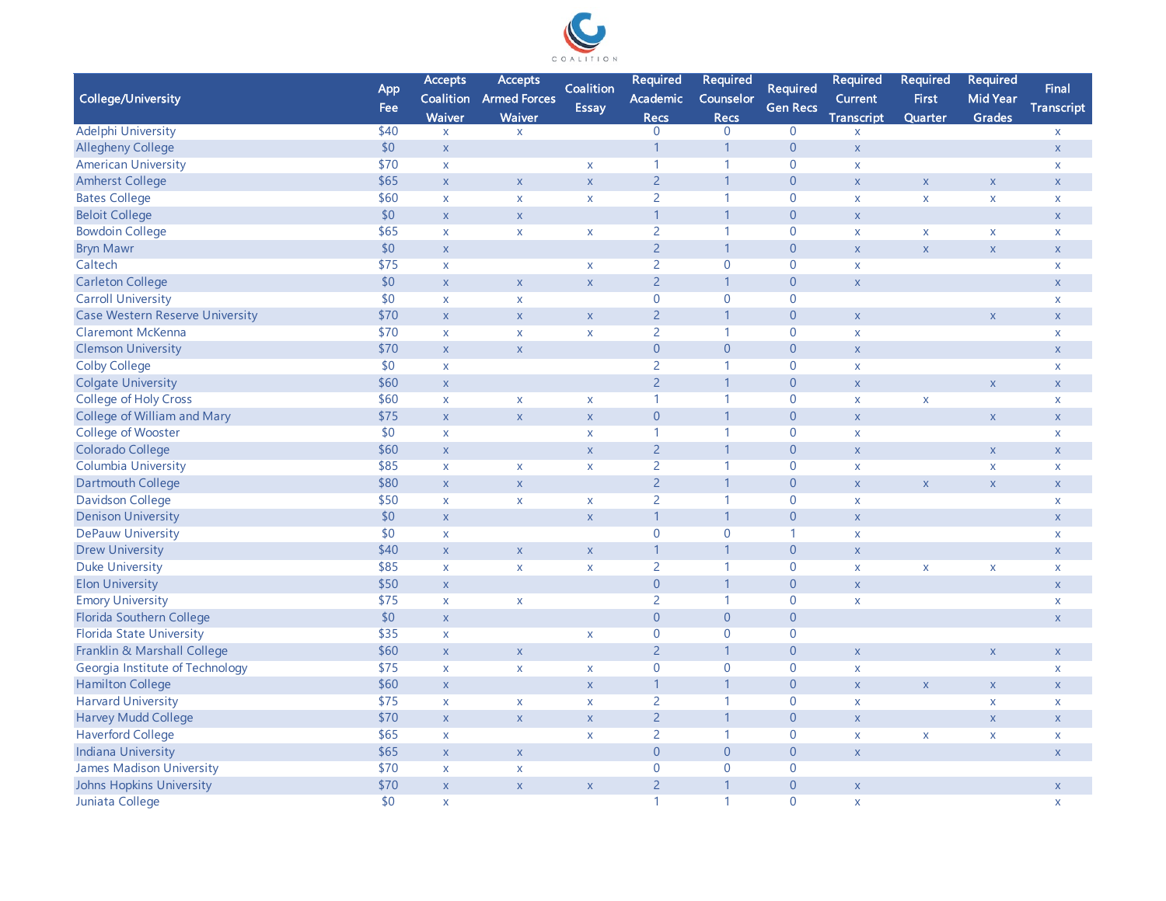

| <b>College/University</b>              | App<br>Fee      | <b>Accepts</b>            | <b>Accepts</b><br>Coalition<br><b>Armed Forces</b> | <b>Required</b> | <b>Required</b>  | Required         | <b>Required</b>  | <b>Required</b>           | Required                | <b>Final</b>       |                    |
|----------------------------------------|-----------------|---------------------------|----------------------------------------------------|-----------------|------------------|------------------|------------------|---------------------------|-------------------------|--------------------|--------------------|
|                                        |                 | Coalition                 |                                                    | <b>Essay</b>    | Academic         | Counselor        | <b>Gen Recs</b>  | <b>Current</b>            | <b>First</b>            | <b>Mid Year</b>    | <b>Transcript</b>  |
|                                        |                 | Waiver                    | Waiver                                             |                 | <b>Recs</b>      | <b>Recs</b>      |                  | <b>Transcript</b>         | <b>Quarter</b>          | Grades             |                    |
| <b>Adelphi University</b>              | \$40            | $\pmb{\mathsf{X}}$        | $\mathsf{X}$                                       |                 | $\overline{0}$   | $\overline{0}$   | $\overline{0}$   | $\pmb{\times}$            |                         |                    | $\mathsf X$        |
| <b>Allegheny College</b>               | \$0             | $\overline{\mathsf{x}}$   |                                                    |                 | $\mathbf{1}$     | $\mathbf{1}$     | $\bf 0$          | $\mathsf{X}$              |                         |                    | $\mathsf X$        |
| <b>American University</b>             | \$70            | $\mathsf X$               |                                                    | $\mathsf X$     | $\mathbf{1}$     | $\mathbf{1}$     | $\overline{0}$   | $\pmb{\mathsf{X}}$        |                         |                    | $\pmb{\mathsf{X}}$ |
| <b>Amherst College</b>                 | \$65            | $\mathsf X$               | $\mathbf{x}$                                       | $\mathsf X$     | $\overline{2}$   | $\mathbf{1}$     | $\overline{0}$   | $\mathsf{X}$              | $\mathsf X$             | $\mathsf{x}$       | $\mathsf X$        |
| <b>Bates College</b>                   | \$60            | $\mathsf X$               | $\mathsf{X}$                                       | $\mathsf X$     | $\overline{2}$   | $\mathbf{1}$     | $\overline{0}$   | $\mathsf{x}$              | $\mathsf{X}$            | $\mathsf X$        | $\mathsf X$        |
| <b>Beloit College</b>                  | \$0             | $\mathsf X$               | $\mathsf X$                                        |                 | $\overline{1}$   | 1                | $\overline{0}$   | $\boldsymbol{\mathsf{X}}$ |                         |                    | $\mathsf X$        |
| <b>Bowdoin College</b>                 | \$65            | $\mathsf X$               | $\mathsf X$                                        | $\mathsf X$     | $\overline{2}$   | 1                | $\overline{0}$   | $\pmb{\mathsf{X}}$        | $\mathsf X$             | $\pmb{\times}$     | $\mathsf X$        |
| <b>Bryn Mawr</b>                       | \$0             | $\mathsf X$               |                                                    |                 | $\overline{2}$   | $\mathbf{1}$     | $\overline{0}$   | $\overline{\mathsf{x}}$   | $\overline{\mathsf{x}}$ | $\mathsf{x}$       | $\mathsf X$        |
| Caltech                                | \$75            | $\mathsf X$               |                                                    | $\mathsf X$     | $\overline{2}$   | $\overline{0}$   | $\overline{0}$   | $\mathsf{x}$              |                         |                    | $\mathsf X$        |
| <b>Carleton College</b>                | \$0             | $\mathsf X$               | $\mathsf X$                                        | $\mathsf{X}$    | $\overline{2}$   | $\overline{1}$   | $\boldsymbol{0}$ | $\mathsf X$               |                         |                    | $\mathsf X$        |
| <b>Carroll University</b>              | \$0             | $\mathsf X$               | $\mathsf X$                                        |                 | $\overline{0}$   | $\mathbf 0$      | $\overline{0}$   |                           |                         |                    | $\mathsf X$        |
| <b>Case Western Reserve University</b> | \$70            | $\mathsf X$               | $\mathsf{X}$                                       | $\mathsf X$     | $\overline{2}$   | 1                | $\overline{0}$   | $\mathsf X$               |                         | $\mathsf X$        | $\mathsf X$        |
| <b>Claremont McKenna</b>               | \$70            | $\mathsf X$               | $\mathsf{X}$                                       | $\mathsf{x}$    | 2                | $\mathbf{1}$     | $\overline{0}$   | $\pmb{\mathsf{X}}$        |                         |                    | $\mathsf{X}$       |
| <b>Clemson University</b>              | \$70            | $\mathsf X$               | $\mathsf X$                                        |                 | $\boldsymbol{0}$ | $\boldsymbol{0}$ | $\boldsymbol{0}$ | $\mathsf X$               |                         |                    | $\mathsf X$        |
| <b>Colby College</b>                   | \$0             | $\pmb{\mathsf{X}}$        |                                                    |                 | $\overline{2}$   | 1                | $\mathbf 0$      | $\boldsymbol{\mathsf{X}}$ |                         |                    | $\pmb{\mathsf{X}}$ |
| <b>Colgate University</b>              | \$60            | $\mathsf X$               |                                                    |                 | $\overline{2}$   |                  | $\overline{0}$   | $\mathsf X$               |                         | $\mathsf X$        | $\mathsf X$        |
| <b>College of Holy Cross</b>           | \$60            | $\pmb{\mathsf{X}}$        | $\mathsf{X}$                                       | $\mathsf{X}$    | 1                | 1                | $\overline{0}$   | $\boldsymbol{\mathsf{X}}$ | $\mathsf X$             |                    | $\mathsf X$        |
| <b>College of William and Mary</b>     | \$75            | $\overline{X}$            | $\mathsf X$                                        | $\mathsf{X}$    | $\overline{0}$   | 1                | $\boldsymbol{0}$ | $\overline{\mathsf{x}}$   |                         | $\mathsf X$        | $\mathsf X$        |
| <b>College of Wooster</b>              | \$0             | $\mathsf X$               |                                                    | $\mathsf{X}$    | 1                | 1                | $\mathbf 0$      | $\boldsymbol{\mathsf{X}}$ |                         |                    | $\mathsf X$        |
| Colorado College                       | \$60            | $\mathsf X$               |                                                    | $\mathsf X$     | $\overline{2}$   | 1                | $\overline{0}$   | $\mathsf X$               |                         | $\mathsf X$        | $\mathsf X$        |
| Columbia University                    | \$85            | $\pmb{\mathsf{X}}$        | $\mathsf X$                                        | $\mathsf{x}$    | $\overline{2}$   | $\mathbf{1}$     | $\mathbf 0$      | $\boldsymbol{\mathsf{X}}$ |                         | $\pmb{\mathsf{X}}$ | $\pmb{\mathsf{X}}$ |
| <b>Dartmouth College</b>               | \$80            | $\mathsf X$               | $\mathsf{X}$                                       |                 | $\overline{c}$   | $\mathbf{1}$     | $\boldsymbol{0}$ | $\mathsf X$               | $\mathsf X$             | $\mathsf X$        | $\mathsf X$        |
| <b>Davidson College</b>                | \$50            | $\boldsymbol{\mathsf{x}}$ | $\mathsf X$                                        | $\mathsf{X}$    | 2                | -1               | $\overline{0}$   | $\boldsymbol{\mathsf{X}}$ |                         |                    | $\mathsf X$        |
| <b>Denison University</b>              | \$0             | $\overline{\mathsf{x}}$   |                                                    | $\mathsf X$     | $\mathbf{1}$     | 1                | $\overline{0}$   | $\mathsf X$               |                         |                    | $\mathsf X$        |
| <b>DePauw University</b>               | $\overline{50}$ | $\boldsymbol{\mathsf{X}}$ |                                                    |                 | $\overline{0}$   | $\overline{0}$   | $\mathbf{1}$     | $\boldsymbol{\mathsf{X}}$ |                         |                    | $\mathsf{x}$       |
| <b>Drew University</b>                 | \$40            | $\overline{X}$            | $\mathsf X$                                        | $\mathsf X$     | 1                | 1                | $\overline{0}$   | $\mathsf X$               |                         |                    | $\mathsf X$        |
| <b>Duke University</b>                 | \$85            | $\mathsf X$               | $\mathsf X$                                        | $\mathsf{X}$    | $\overline{2}$   | 1                | $\mathbf 0$      | $\pmb{\mathsf{X}}$        | $\pmb{\mathsf{X}}$      | $\mathsf{x}$       | $\mathsf X$        |
| <b>Elon University</b>                 | \$50            | $\mathsf X$               |                                                    |                 | $\boldsymbol{0}$ | 1                | $\boldsymbol{0}$ | $\mathsf X$               |                         |                    | $\mathsf X$        |
| <b>Emory University</b>                | \$75            | $\mathsf{X}$              | $\mathsf{X}$                                       |                 | $\overline{2}$   | 1                | $\overline{0}$   | $\boldsymbol{\mathsf{X}}$ |                         |                    | $\mathsf{X}$       |
| Florida Southern College               | \$0             | $\mathsf X$               |                                                    |                 | $\boldsymbol{0}$ | $\overline{0}$   | $\overline{0}$   |                           |                         |                    | $\mathsf X$        |
| <b>Florida State University</b>        | \$35            | $\mathsf X$               |                                                    | $\mathsf X$     | $\overline{0}$   | $\overline{0}$   | $\overline{0}$   |                           |                         |                    |                    |
| Franklin & Marshall College            | \$60            | $\overline{\mathsf{x}}$   | $\mathsf X$                                        |                 | $\overline{2}$   | $\mathbf{1}$     | $\overline{0}$   | $\mathsf X$               |                         | $\mathsf X$        | $\mathsf X$        |
| Georgia Institute of Technology        | \$75            | $\boldsymbol{\mathsf{x}}$ | $\mathsf{X}$                                       | $\mathsf{X}$    | $\mathbf{0}$     | $\overline{0}$   | $\overline{0}$   | $\boldsymbol{\mathsf{X}}$ |                         |                    | $\mathsf X$        |
| <b>Hamilton College</b>                | \$60            | $\mathsf X$               |                                                    | $\mathsf X$     | $\mathbf{1}$     | 1                | $\boldsymbol{0}$ | $\mathsf X$               | $\mathsf X$             | $\mathsf X$        | $\mathsf X$        |
| <b>Harvard University</b>              | \$75            | $\mathsf X$               | $\mathsf X$                                        | $\mathsf X$     | $\overline{2}$   | $\mathbf{1}$     | $\mathbf 0$      | $\mathsf X$               |                         | $\pmb{\times}$     | $\mathsf X$        |
| <b>Harvey Mudd College</b>             | \$70            | $\mathsf X$               | $\mathsf X$                                        | $\mathsf{X}$    | $\overline{2}$   | 1                | $\overline{0}$   | $\mathsf X$               |                         | $\mathsf{x}$       | $\mathsf X$        |
| <b>Haverford College</b>               | \$65            | $\mathsf{x}$              |                                                    | $\mathsf{x}$    | $\overline{2}$   | $\mathbf{1}$     | $\overline{0}$   | $\mathsf{x}$              | $\mathsf X$             | $\mathsf{x}$       | $\mathsf X$        |
| <b>Indiana University</b>              | \$65            | $\mathsf X$               | $\mathsf X$                                        |                 | $\overline{0}$   | $\overline{0}$   | $\boldsymbol{0}$ | $\mathsf X$               |                         |                    | $\mathsf X$        |
| <b>James Madison University</b>        | \$70            | $\mathsf X$               | $\mathsf X$                                        |                 | $\overline{0}$   | $\mathbf{0}$     | $\overline{0}$   |                           |                         |                    |                    |
| <b>Johns Hopkins University</b>        | \$70            | $\boldsymbol{\mathsf{X}}$ | $\mathsf X$                                        | $\mathsf{X}$    | $\overline{2}$   | 1                | $\overline{0}$   | $\mathsf X$               |                         |                    | $\mathsf X$        |
| Juniata College                        | \$0             | $\mathsf{x}$              |                                                    |                 | 1                | $\mathbf{1}$     | $\Omega$         | $\pmb{\times}$            |                         |                    | $\mathsf{X}$       |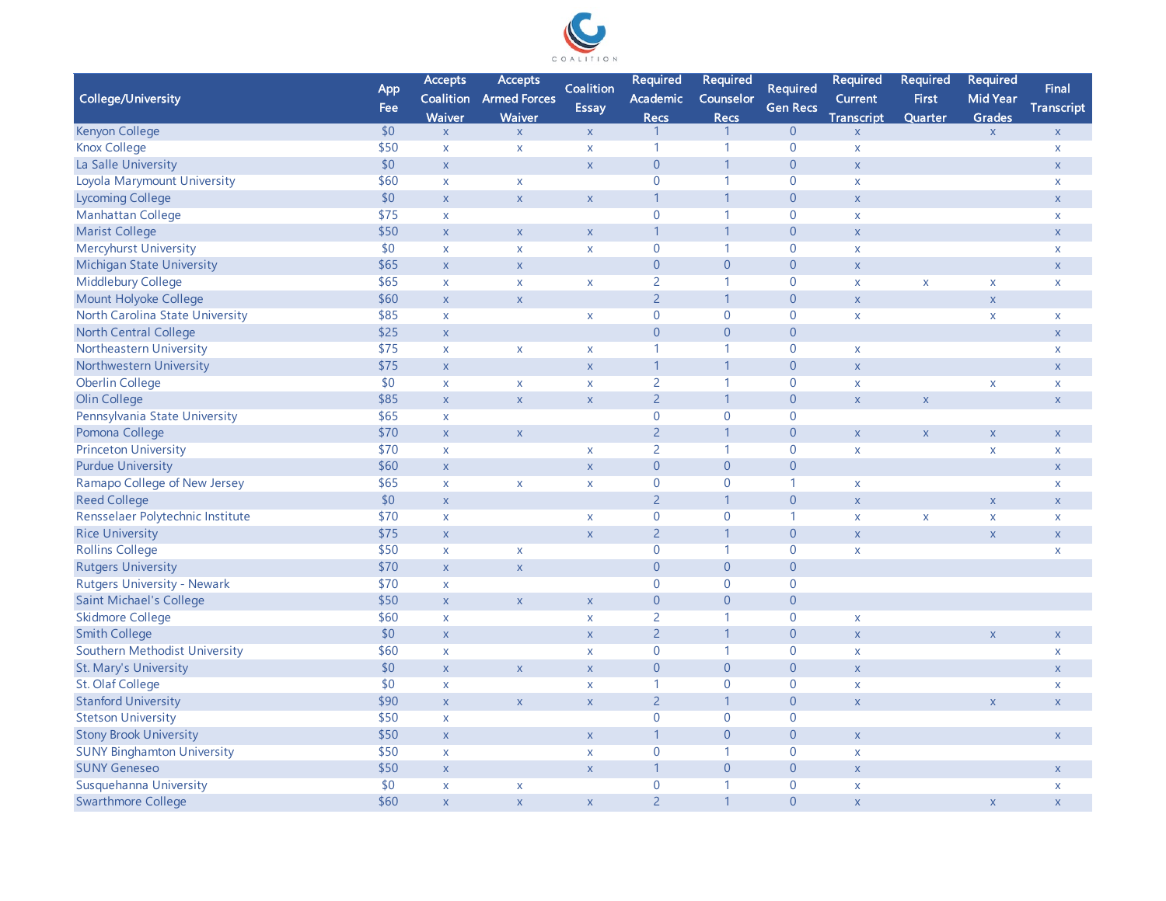

| <b>College/University</b>          | App             | <b>Accepts</b>            | <b>Accepts</b>                | <b>Required</b><br>Coalition<br>Academic | <b>Required</b> | <b>Required</b> | <b>Required</b>  | <b>Required</b>           | <b>Required</b>    | <b>Final</b>              |                   |
|------------------------------------|-----------------|---------------------------|-------------------------------|------------------------------------------|-----------------|-----------------|------------------|---------------------------|--------------------|---------------------------|-------------------|
|                                    |                 |                           | <b>Coalition</b> Armed Forces |                                          |                 | Counselor       |                  | <b>Current</b>            | <b>First</b>       | <b>Mid Year</b>           |                   |
|                                    | Fee             | <b>Waiver</b>             | Waiver                        | <b>Essay</b>                             | <b>Recs</b>     | <b>Recs</b>     | <b>Gen Recs</b>  | <b>Transcript</b>         | <b>Quarter</b>     | Grades                    | <b>Transcript</b> |
| Kenyon College                     | $\overline{60}$ | $\mathsf X$               | $\mathsf X$                   | $\mathsf X$                              | $\overline{1}$  | $\mathbf{1}$    | $\overline{0}$   | $\mathsf{X}$              |                    | $\mathsf X$               | $\mathsf X$       |
| <b>Knox College</b>                | \$50            | $\pmb{\mathsf{X}}$        | $\mathsf{X}$                  | $\boldsymbol{\mathsf{X}}$                | $\mathbf{1}$    | $\mathbf{1}$    | $\overline{0}$   | $\boldsymbol{\mathsf{X}}$ |                    |                           | $\mathsf{X}$      |
| La Salle University                | \$0             | $\mathsf X$               |                               | $\mathsf X$                              | $\overline{0}$  | 1               | $\mathbf{0}$     | $\mathsf X$               |                    |                           | $\mathsf X$       |
| Loyola Marymount University        | \$60            | $\mathsf X$               | $\mathsf{X}$                  |                                          | $\mathbf{0}$    | $\mathbf{1}$    | $\overline{0}$   | $\mathsf{x}$              |                    |                           | $\mathsf X$       |
| <b>Lycoming College</b>            | \$0             | $\mathsf{X}$              | $\mathsf X$                   | $\mathsf X$                              | $\overline{1}$  | $\mathbf{1}$    | $\theta$         | $\overline{\mathsf{x}}$   |                    |                           | $\mathsf X$       |
| <b>Manhattan College</b>           | \$75            | $\mathsf{X}$              |                               |                                          | $\overline{0}$  | $\mathbf{1}$    | $\overline{0}$   | $\boldsymbol{\mathsf{X}}$ |                    |                           | $\mathsf{X}$      |
| <b>Marist College</b>              | \$50            | $\mathsf X$               | $\mathsf X$                   | $\mathsf X$                              | $\mathbf{1}$    | $\mathbf{1}$    | $\boldsymbol{0}$ | $\mathsf X$               |                    |                           | $\mathsf X$       |
| <b>Mercyhurst University</b>       | \$0             | $\mathsf X$               | $\mathsf{X}$                  | $\mathsf{X}$                             | $\overline{0}$  | $\mathbf{1}$    | $\overline{0}$   | $\boldsymbol{\mathsf{X}}$ |                    |                           | $\mathsf X$       |
| <b>Michigan State University</b>   | \$65            | $\mathsf X$               | $\mathsf{X}$                  |                                          | $\overline{0}$  | $\overline{0}$  | $\overline{0}$   | $\overline{\mathsf{x}}$   |                    |                           | $\mathsf X$       |
| <b>Middlebury College</b>          | \$65            | $\pmb{\times}$            | $\mathsf X$                   | $\mathsf X$                              | $\overline{2}$  | 1               | $\overline{0}$   | $\pmb{\times}$            | $\pmb{\mathsf{X}}$ | $\mathsf X$               | $\mathsf X$       |
| Mount Holyoke College              | \$60            | $\mathsf X$               | $\mathsf X$                   |                                          | $\overline{c}$  | $\mathbf{1}$    | $\boldsymbol{0}$ | $\overline{\mathsf{x}}$   |                    | $\mathsf X$               |                   |
| North Carolina State University    | \$85            | $\pmb{\mathsf{X}}$        |                               | $\mathsf X$                              | $\overline{0}$  | $\mathbf 0$     | $\overline{0}$   | $\mathsf{x}$              |                    | $\mathsf{X}$              | $\mathsf X$       |
| <b>North Central College</b>       | \$25            | $\mathsf{X}$              |                               |                                          | $\overline{0}$  | $\overline{0}$  | $\theta$         |                           |                    |                           | $\mathsf X$       |
| Northeastern University            | \$75            | $\pmb{\mathsf{X}}$        | $\mathsf{X}$                  | $\mathsf{X}$                             | 1               | 1               | $\overline{0}$   | $\boldsymbol{\mathsf{X}}$ |                    |                           | $\mathsf X$       |
| Northwestern University            | \$75            | $\mathsf X$               |                               | $\mathsf X$                              | $\mathbf{1}$    | $\mathbf{1}$    | $\overline{0}$   | $\overline{\mathsf{x}}$   |                    |                           | $\mathsf X$       |
| <b>Oberlin College</b>             | \$0             | $\mathsf X$               | $\mathsf X$                   | $\mathsf{X}$                             | $\overline{2}$  | $\mathbf{1}$    | $\overline{0}$   | $\boldsymbol{\mathsf{X}}$ |                    | $\mathsf X$               | $\mathsf X$       |
| Olin College                       | \$85            | $\mathsf X$               | $\mathsf{X}$                  | $\mathsf{X}$                             | $\overline{2}$  | $\mathbf{1}$    | $\overline{0}$   | $\mathsf X$               | $\mathsf X$        |                           | $\mathsf X$       |
| Pennsylvania State University      | \$65            | $\mathsf X$               |                               |                                          | $\overline{0}$  | $\overline{0}$  | $\overline{0}$   |                           |                    |                           |                   |
| Pomona College                     | \$70            | $\mathsf X$               | $\mathsf X$                   |                                          | $\overline{2}$  | $\mathbf{1}$    | $\overline{0}$   | $\mathsf X$               | $\mathsf X$        | $\mathsf X$               | $\mathsf X$       |
| <b>Princeton University</b>        | \$70            | $\boldsymbol{\mathsf{X}}$ |                               | $\mathsf{X}$                             | $\overline{2}$  | $\mathbf{1}$    | $\overline{0}$   | $\boldsymbol{\mathsf{X}}$ |                    | $\boldsymbol{\mathsf{X}}$ | $\mathsf X$       |
| <b>Purdue University</b>           | \$60            | $\overline{\mathsf{x}}$   |                               | $\mathsf X$                              | $\overline{0}$  | $\overline{0}$  | $\theta$         |                           |                    |                           | $\mathsf X$       |
| Ramapo College of New Jersey       | \$65            | $\mathsf X$               | $\mathsf X$                   | $\mathsf X$                              | $\overline{0}$  | $\mathbf 0$     | -1               | $\pmb{\times}$            |                    |                           | $\mathsf X$       |
| <b>Reed College</b>                | \$0             | $\mathsf X$               |                               |                                          | $\overline{2}$  | 1               | $\mathbf{0}$     | $\overline{\mathsf{x}}$   |                    | $\mathsf{X}$              | $\mathsf X$       |
| Rensselaer Polytechnic Institute   | \$70            | $\mathsf X$               |                               | $\mathsf X$                              | $\overline{0}$  | $\pmb{0}$       | $\mathbf{1}$     | $\mathsf{x}$              | $\mathsf X$        | $\mathsf X$               | $\mathsf X$       |
| <b>Rice University</b>             | \$75            | $\mathsf X$               |                               | $\mathsf X$                              | $\overline{2}$  | $\mathbf{1}$    | $\theta$         | $\overline{\mathsf{x}}$   |                    | $\mathsf{X}$              | $\mathsf X$       |
| <b>Rollins College</b>             | \$50            | $\mathsf X$               | $\mathsf{X}$                  |                                          | $\overline{0}$  | $\mathbf{1}$    | $\overline{0}$   | $\mathsf{x}$              |                    |                           | $\mathsf{X}$      |
| <b>Rutgers University</b>          | \$70            | $\mathsf X$               | $\mathsf X$                   |                                          | $\overline{0}$  | $\overline{0}$  | $\boldsymbol{0}$ |                           |                    |                           |                   |
| <b>Rutgers University - Newark</b> | \$70            | $\pmb{\mathsf{X}}$        |                               |                                          | $\mathbf{0}$    | $\mathbf{0}$    | $\overline{0}$   |                           |                    |                           |                   |
| <b>Saint Michael's College</b>     | \$50            | $\mathsf X$               | $\mathsf X$                   | $\mathsf{X}$                             | $\overline{0}$  | $\overline{0}$  | $\theta$         |                           |                    |                           |                   |
| <b>Skidmore College</b>            | \$60            | $\pmb{\times}$            |                               | $\mathsf X$                              | $\overline{2}$  | 1               | $\overline{0}$   | $\pmb{\mathsf{X}}$        |                    |                           |                   |
| <b>Smith College</b>               | \$0             | $\mathsf X$               |                               | $\mathsf X$                              | $\overline{2}$  | $\mathbf{1}$    | $\overline{0}$   | $\overline{\mathsf{x}}$   |                    | $\mathsf X$               | $\mathsf X$       |
| Southern Methodist University      | \$60            | $\mathsf X$               |                               | $\mathsf{x}$                             | $\mathbf{0}$    | $\mathbf{1}$    | $\overline{0}$   | $\mathsf{x}$              |                    |                           | $\mathsf X$       |
| St. Mary's University              | \$0             | $\mathsf X$               | $\mathsf X$                   | $\mathsf{X}$                             | $\overline{0}$  | $\overline{0}$  | $\theta$         | $\mathsf X$               |                    |                           | $\mathsf X$       |
| St. Olaf College                   | \$0             | $\mathsf X$               |                               | $\mathsf X$                              | 1               | $\pmb{0}$       | $\overline{0}$   | $\pmb{\times}$            |                    |                           | $\mathsf{X}$      |
| <b>Stanford University</b>         | \$90            | $\mathsf X$               | $\mathsf X$                   | $\mathsf X$                              | $\overline{2}$  | $\mathbf{1}$    | $\overline{0}$   | $\mathsf X$               |                    | $\mathsf X$               | $\mathsf X$       |
| <b>Stetson University</b>          | \$50            | $\mathsf X$               |                               |                                          | $\overline{0}$  | $\mathbf{0}$    | $\overline{0}$   |                           |                    |                           |                   |
| <b>Stony Brook University</b>      | \$50            | $\mathsf{X}$              |                               | $\mathsf{X}$                             | $\mathbf{1}$    | $\overline{0}$  | $\boldsymbol{0}$ | $\mathsf X$               |                    |                           | $\mathsf{X}$      |
| <b>SUNY Binghamton University</b>  | \$50            | $\mathsf X$               |                               | $\mathsf{X}$                             | $\mathbf 0$     | $\mathbf{1}$    | $\mathbf 0$      | $\boldsymbol{\mathsf{X}}$ |                    |                           |                   |
| <b>SUNY Geneseo</b>                | \$50            | $\overline{\mathsf{x}}$   |                               | $\mathsf X$                              |                 | $\overline{0}$  | $\mathbf{0}$     | $\mathsf X$               |                    |                           | $\mathsf X$       |
| Susquehanna University             | \$0             | $\boldsymbol{\mathsf{X}}$ | $\boldsymbol{X}$              |                                          | $\overline{0}$  | 1               | $\mathbf 0$      | X                         |                    |                           | $\mathsf{X}$      |
| <b>Swarthmore College</b>          | \$60            | $\overline{X}$            | $\mathsf X$                   | $\mathsf X$                              | $\overline{2}$  | $\mathbf{1}$    | $\overline{0}$   | $\overline{\mathsf{x}}$   |                    | $\mathsf{X}$              | $\mathsf X$       |
|                                    |                 |                           |                               |                                          |                 |                 |                  |                           |                    |                           |                   |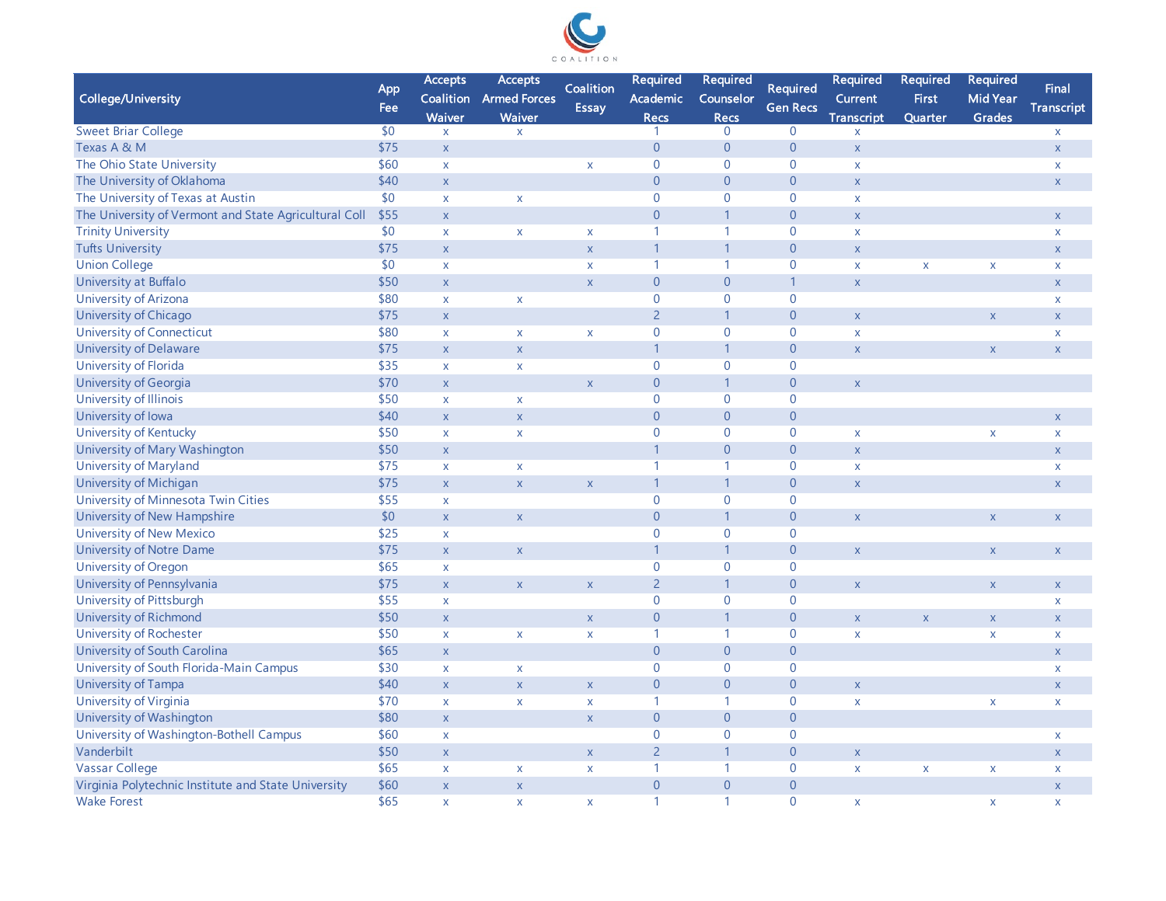

|                                                       | App             | <b>Accepts</b>                                | <b>Accepts</b>                  | Coalition          | <b>Required</b>  | <b>Required</b>             | Required                         | <b>Required</b>                           | <b>Required</b> | <b>Required</b>    | Final                             |
|-------------------------------------------------------|-----------------|-----------------------------------------------|---------------------------------|--------------------|------------------|-----------------------------|----------------------------------|-------------------------------------------|-----------------|--------------------|-----------------------------------|
| <b>College/University</b>                             | Fee             |                                               | <b>Coalition</b> Armed Forces   | <b>Essay</b>       | Academic         | Counselor                   | <b>Gen Recs</b>                  | <b>Current</b>                            | <b>First</b>    | <b>Mid Year</b>    | <b>Transcript</b>                 |
| <b>Sweet Briar College</b>                            | $\overline{50}$ | Waiver                                        | Waiver                          |                    | <b>Recs</b>      | <b>Recs</b><br>$\mathbf{0}$ | $\overline{0}$                   | <b>Transcript</b>                         | Quarter         | Grades             |                                   |
| Texas A & M                                           | \$75            | $\pmb{\mathsf{X}}$<br>$\overline{\mathsf{x}}$ | $\mathsf{X}$                    |                    | $\overline{0}$   | $\overline{0}$              | $\mathbf 0$                      | $\pmb{\times}$<br>$\overline{\mathsf{x}}$ |                 |                    | $\mathsf X$                       |
| The Ohio State University                             | \$60            |                                               |                                 |                    | $\overline{0}$   | $\mathbf{0}$                | $\overline{0}$                   | $\mathsf X$                               |                 |                    | $\mathsf X$                       |
| The University of Oklahoma                            | \$40            | $\pmb{\mathsf{X}}$<br>$\bar{\mathbf{x}}$      |                                 | $\mathsf X$        | $\boldsymbol{0}$ | $\boldsymbol{0}$            | $\bf 0$                          | $\mathsf X$                               |                 |                    | $\pmb{\mathsf{X}}$<br>$\mathsf X$ |
| The University of Texas at Austin                     | \$0             | $\pmb{\mathsf{X}}$                            | $\boldsymbol{\mathsf{X}}$       |                    | $\mathbf{0}$     | $\overline{0}$              | $\overline{0}$                   | $\boldsymbol{\mathsf{X}}$                 |                 |                    |                                   |
| The University of Vermont and State Agricultural Coll | \$55            | $\mathsf X$                                   |                                 |                    | $\overline{0}$   | 1                           | $\overline{0}$                   | $\overline{\mathsf{x}}$                   |                 |                    | $\mathsf X$                       |
| <b>Trinity University</b>                             | \$0             | $\pmb{\times}$                                | $\mathsf X$                     | $\mathsf{X}$       | $\mathbf{1}$     | 1                           | $\overline{0}$                   | $\pmb{\mathsf{X}}$                        |                 |                    | $\mathsf X$                       |
| <b>Tufts University</b>                               | \$75            | $\overline{\mathsf{x}}$                       |                                 | $\overline{X}$     | $\mathbf{1}$     | $\mathbf{1}$                | $\boldsymbol{0}$                 | $\overline{\mathsf{x}}$                   |                 |                    | $\mathsf X$                       |
| <b>Union College</b>                                  | $\overline{50}$ | $\pmb{\mathsf{X}}$                            |                                 | $\mathsf{x}$       | $\mathbf{1}$     | 1                           | $\overline{0}$                   | $\boldsymbol{\mathsf{X}}$                 | $\mathsf{X}$    | $\mathsf{X}$       | $\mathsf X$                       |
| University at Buffalo                                 | \$50            | $\mathsf X$                                   |                                 | $\mathsf X$        | $\overline{0}$   | $\overline{0}$              | $\mathbf{1}$                     | $\overline{\mathsf{x}}$                   |                 |                    | $\mathsf X$                       |
| University of Arizona                                 | \$80            | $\pmb{\mathsf{X}}$                            | $\mathsf X$                     |                    | $\overline{0}$   | $\mathbf 0$                 | $\overline{0}$                   |                                           |                 |                    | $\mathsf X$                       |
| University of Chicago                                 | \$75            | $\overline{X}$                                |                                 |                    | $\overline{2}$   | $\mathbf{1}$                | $\overline{0}$                   | $\mathsf{X}$                              |                 | $\mathsf X$        | $\mathsf{X}$                      |
| <b>University of Connecticut</b>                      | \$80            | $\mathsf{x}$                                  |                                 | $\mathsf{x}$       | $\overline{0}$   | $\overline{0}$              | $\overline{0}$                   | $\mathsf{x}$                              |                 |                    | $\mathsf{X}$                      |
| <b>University of Delaware</b>                         | \$75            | $\mathsf X$                                   | $\boldsymbol{X}$<br>$\mathsf X$ |                    | $\mathbf{1}$     | 1                           | $\overline{0}$                   | $\overline{\mathsf{x}}$                   |                 | $\mathsf X$        | $\mathsf X$                       |
| University of Florida                                 | \$35            | $\pmb{\mathsf{X}}$                            | $\mathsf{X}$                    |                    | $\mathbf{0}$     | $\overline{0}$              | $\mathbf{0}$                     |                                           |                 |                    |                                   |
| University of Georgia                                 | \$70            | $\mathsf X$                                   |                                 | $\mathsf X$        | $\overline{0}$   | 1                           | $\overline{0}$                   | $\mathsf{x}$                              |                 |                    |                                   |
| University of Illinois                                | \$50            | $\mathsf X$                                   |                                 |                    | $\mathbf{0}$     | $\overline{0}$              | $\overline{0}$                   |                                           |                 |                    |                                   |
| University of Iowa                                    | \$40            | $\mathsf X$                                   | $\mathsf{X}$<br>$\mathsf X$     |                    | $\boldsymbol{0}$ | $\boldsymbol{0}$            | $\boldsymbol{0}$                 |                                           |                 |                    |                                   |
| University of Kentucky                                | \$50            | $\mathsf X$                                   |                                 |                    | $\mathbf{0}$     | $\Omega$                    | $\overline{0}$                   |                                           |                 |                    | $\mathsf X$                       |
| University of Mary Washington                         |                 |                                               | $\mathsf X$                     |                    | $\mathbf{1}$     | $\boldsymbol{0}$            | $\boldsymbol{0}$                 | $\boldsymbol{\mathsf{X}}$                 |                 | $\pmb{\mathsf{X}}$ | $\mathsf X$                       |
| <b>University of Maryland</b>                         | \$50<br>\$75    | $\mathsf X$                                   |                                 |                    | $\mathbf{1}$     | $\mathbf{1}$                | $\overline{0}$                   | $\mathsf X$                               |                 |                    | $\mathsf X$                       |
| <b>University of Michigan</b>                         | \$75            | $\mathsf X$                                   | $\mathsf X$                     |                    | $\mathbf{1}$     | $\mathbf{1}$                | $\overline{0}$                   | $\pmb{\times}$                            |                 |                    | $\mathsf X$                       |
| <b>University of Minnesota Twin Cities</b>            | \$55            | $\overline{X}$                                | $\mathsf X$                     | $\mathsf X$        | $\overline{0}$   | $\overline{0}$              | $\overline{0}$                   | $\overline{\mathsf{x}}$                   |                 |                    | $\mathsf X$                       |
| <b>University of New Hampshire</b>                    | \$0             | $\boldsymbol{\mathsf{x}}$                     |                                 |                    | $\overline{0}$   | 1                           | $\boldsymbol{0}$                 |                                           |                 |                    |                                   |
|                                                       |                 | $\mathsf X$                                   | $\mathsf X$                     |                    | $\mathbf{0}$     |                             |                                  | $\mathsf X$                               |                 | $\overline{X}$     | $\mathsf X$                       |
| <b>University of New Mexico</b>                       | \$25<br>\$75    | $\pmb{\mathsf{X}}$                            |                                 |                    |                  | $\mathbf 0$<br>1            | $\overline{0}$                   |                                           |                 |                    |                                   |
| <b>University of Notre Dame</b>                       | \$65            | $\mathsf X$                                   | $\mathsf{x}$                    |                    | $\overline{0}$   | $\overline{0}$              | $\overline{0}$<br>$\overline{0}$ | $\mathsf X$                               |                 | $\mathsf X$        | $\mathsf{X}$                      |
| <b>University of Oregon</b>                           |                 | $\mathsf{x}$                                  |                                 |                    | $\overline{2}$   | $\mathbf{1}$                |                                  |                                           |                 |                    |                                   |
| University of Pennsylvania                            | \$75            | $\mathsf X$                                   | $\mathsf X$                     | $\mathsf X$        | $\overline{0}$   | $\overline{0}$              | $\overline{0}$                   | $\mathsf X$                               |                 | $\mathsf X$        | $\mathsf X$                       |
| <b>University of Pittsburgh</b>                       | \$55            | $\mathsf X$                                   |                                 |                    |                  |                             | $\overline{0}$                   |                                           |                 |                    | $\mathsf X$                       |
| <b>University of Richmond</b>                         | \$50            | $\mathsf X$                                   |                                 | $\mathsf{X}$       | $\overline{0}$   | $\mathbf{1}$                | $\boldsymbol{0}$                 | $\mathsf{X}$                              | $\mathsf X$     | $\mathsf X$        | $\mathsf{X}$                      |
| <b>University of Rochester</b>                        | \$50            | $\mathsf X$                                   | $\mathsf X$                     | $\mathsf{x}$       | $\mathbf{1}$     | $\mathbf{1}$                | $\overline{0}$                   | $\mathsf{x}$                              |                 | $\mathsf{x}$       | $\pmb{\mathsf{X}}$                |
| University of South Carolina                          | \$65            | $\mathsf X$                                   |                                 |                    | $\overline{0}$   | $\overline{0}$              | $\overline{0}$                   |                                           |                 |                    | $\mathsf X$                       |
| University of South Florida-Main Campus               | \$30            | $\mathsf{x}$                                  | $\mathsf{X}$                    |                    | $\mathbf{0}$     | $\overline{0}$              | $\overline{0}$                   |                                           |                 |                    | $\mathsf X$                       |
| University of Tampa                                   | \$40            | $\mathsf X$                                   | $\mathsf X$                     | $\mathsf X$        | $\overline{0}$   | $\overline{0}$              | $\overline{0}$                   | $\mathsf X$                               |                 |                    | $\mathsf X$                       |
| University of Virginia                                | \$70            | $\pmb{\times}$                                | $\mathsf X$                     | $\mathsf X$        | 1                | $\mathbf{1}$                | $\mathbf 0$                      | $\overline{\mathsf{x}}$                   |                 | $\pmb{\times}$     | $\mathsf X$                       |
| University of Washington                              | \$80            | $\mathsf X$                                   |                                 | $\bar{\mathsf{X}}$ | $\overline{0}$   | $\overline{0}$              | $\overline{0}$                   |                                           |                 |                    |                                   |
| University of Washington-Bothell Campus               | \$60            | $\mathsf X$                                   |                                 |                    | $\overline{0}$   | $\overline{0}$              | $\overline{0}$                   |                                           |                 |                    | $\mathsf{X}$                      |
| Vanderbilt                                            | \$50            | $\overline{X}$                                |                                 | $\mathsf X$        | $\overline{2}$   | $\mathbf{1}$                | $\boldsymbol{0}$                 | $\mathsf X$                               |                 |                    | $\mathsf X$                       |
| <b>Vassar College</b>                                 | \$65            | $\pmb{\mathsf{X}}$                            | $\mathsf X$                     | $\mathsf{X}$       | $\mathbf{1}$     | $\mathbf{1}$                | $\overline{0}$                   | $\pmb{\mathsf{X}}$                        | $\mathsf X$     | $\mathsf X$        | $\pmb{\mathsf{X}}$                |
| Virginia Polytechnic Institute and State University   | \$60            | $\mathsf X$                                   | $\mathsf X$                     |                    | $\boldsymbol{0}$ | $\boldsymbol{0}$            | $\overline{0}$                   |                                           |                 |                    | $\boldsymbol{\mathsf{X}}$         |
| <b>Wake Forest</b>                                    | \$65            | $\mathsf X$                                   | $\mathsf{X}$                    | $\mathsf X$        | 1                | $\mathbf{1}$                | $\overline{0}$                   | $\mathsf X$                               |                 | $\mathsf{X}$       | $\mathsf X$                       |